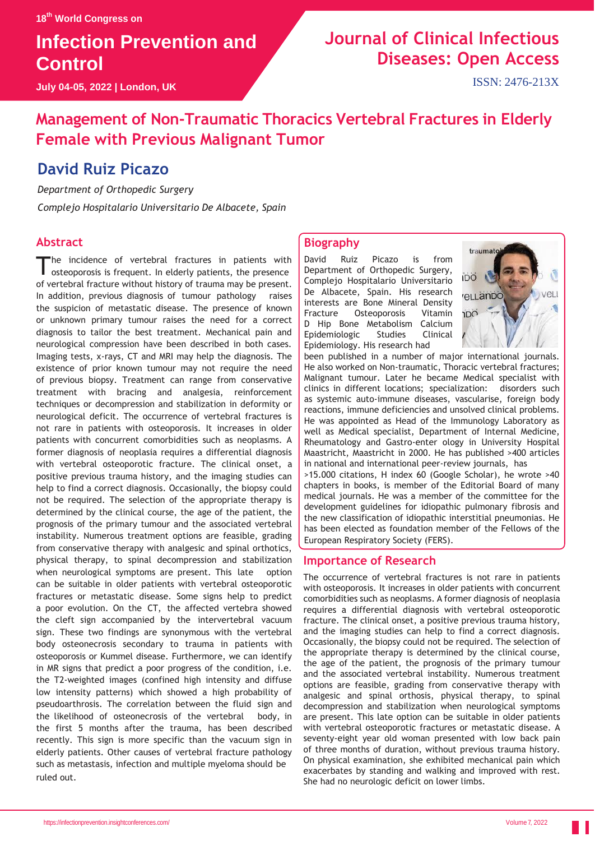# **Infection Prevention and Control**

**July 04-05, 2022 | London, UK**

# **Journal of Clinical Infectious Diseases: Open Access**

ISSN: 2476-213X

### **Management of Non-Traumatic Thoracics Vertebral Fractures in Elderly Female with Previous Malignant Tumor**

### **David Ruiz Picazo**

*Department of Orthopedic Surgery Complejo Hospitalario Universitario De Albacete, Spain*

#### **Abstract**

The incidence of vertebral fractures in patients with osteoporosis is frequent. In elderly patients, the presence he incidence of vertebral fractures in patients with of vertebral fracture without history of trauma may be present. In addition, previous diagnosis of tumour pathology raises the suspicion of metastatic disease. The presence of known or unknown primary tumour raises the need for a correct diagnosis to tailor the best treatment. Mechanical pain and neurological compression have been described in both cases. Imaging tests, x-rays, CT and MRI may help the diagnosis. The existence of prior known tumour may not require the need of previous biopsy. Treatment can range from conservative treatment with bracing and analgesia, reinforcement techniques or decompression and stabilization in deformity or neurological deficit. The occurrence of vertebral fractures is not rare in patients with osteoporosis. It increases in older patients with concurrent comorbidities such as neoplasms. A former diagnosis of neoplasia requires a differential diagnosis with vertebral osteoporotic fracture. The clinical onset, a positive previous trauma history, and the imaging studies can help to find a correct diagnosis. Occasionally, the biopsy could not be required. The selection of the appropriate therapy is determined by the clinical course, the age of the patient, the prognosis of the primary tumour and the associated vertebral instability. Numerous treatment options are feasible, grading from conservative therapy with analgesic and spinal orthotics, physical therapy, to spinal decompression and stabilization when neurological symptoms are present. This late option can be suitable in older patients with vertebral osteoporotic fractures or metastatic disease. Some signs help to predict a poor evolution. On the CT, the affected vertebra showed the cleft sign accompanied by the intervertebral vacuum sign. These two findings are synonymous with the vertebral body osteonecrosis secondary to trauma in patients with osteoporosis or Kummel disease. Furthermore, we can identify in MR signs that predict a poor progress of the condition, i.e. the T2-weighted images (confined high intensity and diffuse low intensity patterns) which showed a high probability of pseudoarthrosis. The correlation between the fluid sign and the likelihood of osteonecrosis of the vertebral body, in the first 5 months after the trauma, has been described recently. This sign is more specific than the vacuum sign in elderly patients. Other causes of vertebral fracture pathology such as metastasis, infection and multiple myeloma should be ruled out.

#### **Biography**

David Ruiz Picazo is from Department of Orthopedic Surgery, Complejo Hospitalario Universitario De Albacete, Spain. His research interests are Bone Mineral Density Fracture Osteoporosis Vitamin D Hip Bone Metabolism Calcium Epidemiologic Studies Clinical Epidemiology. His research had



been published in a number of major international journals. He also worked on Non-traumatic, Thoracic vertebral fractures; Malignant tumour. Later he became Medical specialist with clinics in different locations; specialization: disorders such as systemic auto-immune diseases, vascularise, foreign body reactions, immune deficiencies and unsolved clinical problems. He was appointed as Head of the Immunology Laboratory as well as Medical specialist, Department of Internal Medicine, Rheumatology and Gastro-enter ology in University Hospital Maastricht, Maastricht in 2000. He has published >400 articles in national and international peer-review journals, has >15.000 citations, H index 60 (Google Scholar), he wrote >40 chapters in books, is member of the Editorial Board of many medical journals. He was a member of the committee for the development guidelines for idiopathic pulmonary fibrosis and the new classification of idiopathic interstitial pneumonias. He has been elected as foundation member of the Fellows of the European Respiratory Society (FERS).

#### **Importance of Research**

The occurrence of vertebral fractures is not rare in patients with osteoporosis. It increases in older patients with concurrent comorbidities such as neoplasms. A former diagnosis of neoplasia requires a differential diagnosis with vertebral osteoporotic fracture. The clinical onset, a positive previous trauma history, and the imaging studies can help to find a correct diagnosis. Occasionally, the biopsy could not be required. The selection of the appropriate therapy is determined by the clinical course, the age of the patient, the prognosis of the primary tumour and the associated vertebral instability. Numerous treatment options are feasible, grading from conservative therapy with analgesic and spinal orthosis, physical therapy, to spinal decompression and stabilization when neurological symptoms are present. This late option can be suitable in older patients with vertebral osteoporotic fractures or metastatic disease. A seventy-eight year old woman presented with low back pain of three months of duration, without previous trauma history. On physical examination, she exhibited mechanical pain which exacerbates by standing and walking and improved with rest. She had no neurologic deficit on lower limbs.